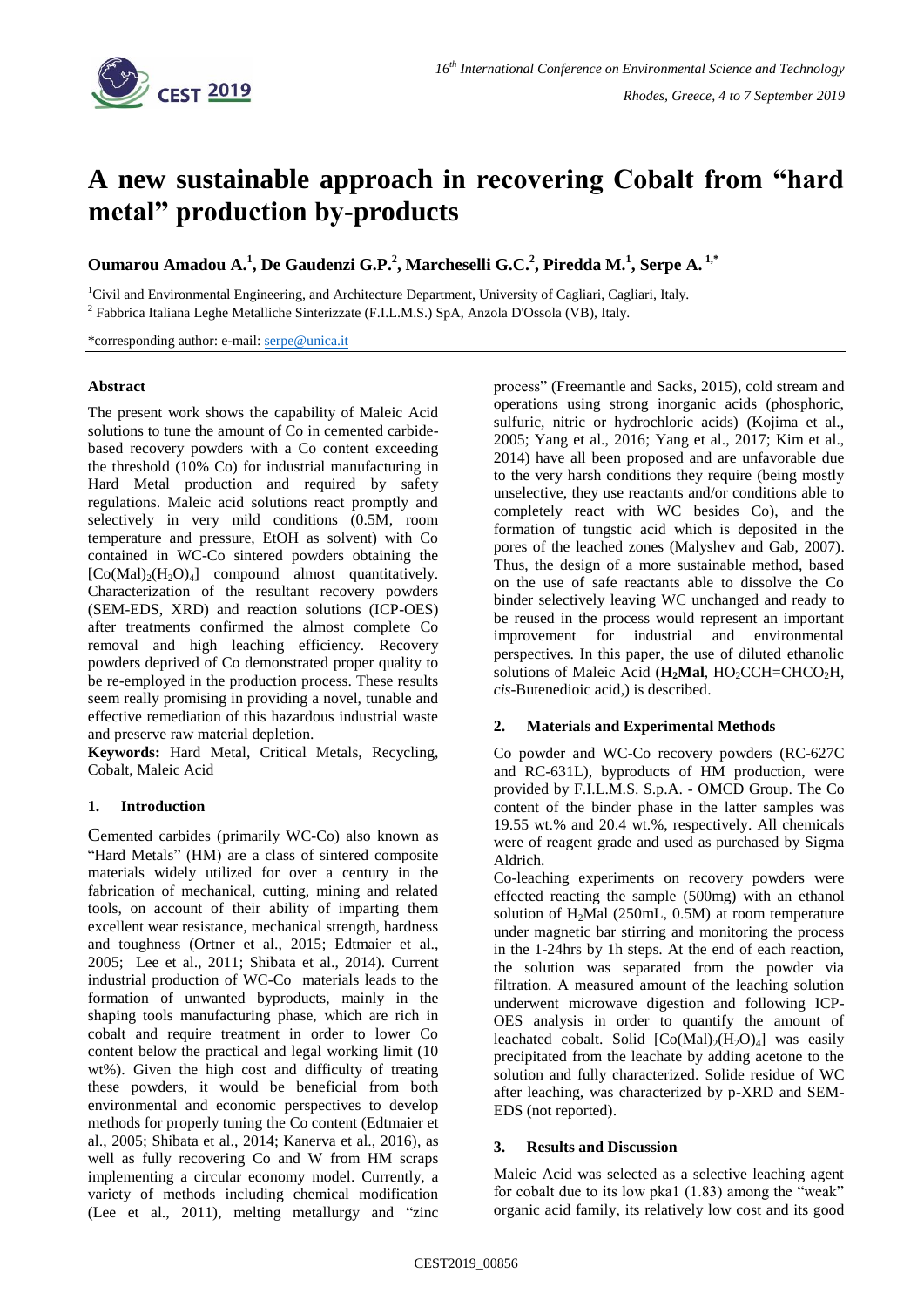

# **A new sustainable approach in recovering Cobalt from "hard metal" production by-products**

**Oumarou Amadou A.<sup>1</sup> , De Gaudenzi G.P.<sup>2</sup> , Marcheselli G.C.<sup>2</sup> , Piredda M.<sup>1</sup> , Serpe A. 1,\*** 

<sup>1</sup>Civil and Environmental Engineering, and Architecture Department, University of Cagliari, Cagliari, Italy. <sup>2</sup> Fabbrica Italiana Leghe Metalliche Sinterizzate (F.I.L.M.S.) SpA, Anzola D'Ossola (VB), Italy.

\*corresponding author: e-mail: [serpe@unica.it](mailto:serpe@unica.it)

## **Abstract**

The present work shows the capability of Maleic Acid solutions to tune the amount of Co in cemented carbidebased recovery powders with a Co content exceeding the threshold (10% Co) for industrial manufacturing in Hard Metal production and required by safety regulations. Maleic acid solutions react promptly and selectively in very mild conditions (0.5M, room temperature and pressure, EtOH as solvent) with Co contained in WC-Co sintered powders obtaining the  $[Co(Mal),(H<sub>2</sub>O)<sub>4</sub>]$  compound almost quantitatively. Characterization of the resultant recovery powders (SEM-EDS, XRD) and reaction solutions (ICP-OES) after treatments confirmed the almost complete Co removal and high leaching efficiency. Recovery powders deprived of Co demonstrated proper quality to be re-employed in the production process. These results seem really promising in providing a novel, tunable and effective remediation of this hazardous industrial waste and preserve raw material depletion.

**Keywords:** Hard Metal, Critical Metals, Recycling, Cobalt, Maleic Acid

## **1. Introduction**

Cemented carbides (primarily WC-Co) also known as "Hard Metals" (HM) are a class of sintered composite materials widely utilized for over a century in the fabrication of mechanical, cutting, mining and related tools, on account of their ability of imparting them excellent wear resistance, mechanical strength, hardness and toughness (Ortner et al., 2015; Edtmaier et al., 2005; Lee et al., 2011; Shibata et al., 2014). Current industrial production of WC-Co materials leads to the formation of unwanted byproducts, mainly in the shaping tools manufacturing phase, which are rich in cobalt and require treatment in order to lower Co content below the practical and legal working limit (10 wt%). Given the high cost and difficulty of treating these powders, it would be beneficial from both environmental and economic perspectives to develop methods for properly tuning the Co content (Edtmaier et al., 2005; Shibata et al., 2014; Kanerva et al., 2016), as well as fully recovering Co and W from HM scraps implementing a circular economy model. Currently, a variety of methods including chemical modification (Lee et al., 2011), melting metallurgy and "zinc

process" (Freemantle and Sacks, 2015), cold stream and operations using strong inorganic acids (phosphoric, sulfuric, nitric or hydrochloric acids) (Kojima et al., 2005; Yang et al., 2016; Yang et al., 2017; Kim et al., 2014) have all been proposed and are unfavorable due to the very harsh conditions they require (being mostly unselective, they use reactants and/or conditions able to completely react with WC besides Co), and the formation of tungstic acid which is deposited in the pores of the leached zones (Malyshev and Gab, 2007). Thus, the design of a more sustainable method, based on the use of safe reactants able to dissolve the Co binder selectively leaving WC unchanged and ready to be reused in the process would represent an important improvement for industrial and environmental perspectives. In this paper, the use of diluted ethanolic solutions of Maleic Acid (H<sub>2</sub>Mal, HO<sub>2</sub>CCH=CHCO<sub>2</sub>H, *cis*-Butenedioic acid,) is described.

## **2. Materials and Experimental Methods**

Co powder and WC-Co recovery powders (RC-627C and RC-631L), byproducts of HM production, were provided by F.I.L.M.S. S.p.A. - OMCD Group. The Co content of the binder phase in the latter samples was 19.55 wt.% and 20.4 wt.%, respectively. All chemicals were of reagent grade and used as purchased by Sigma Aldrich.

Co-leaching experiments on recovery powders were effected reacting the sample (500mg) with an ethanol solution of H<sub>2</sub>Mal (250mL, 0.5M) at room temperature under magnetic bar stirring and monitoring the process in the 1-24hrs by 1h steps. At the end of each reaction, the solution was separated from the powder via filtration. A measured amount of the leaching solution underwent microwave digestion and following ICP-OES analysis in order to quantify the amount of leachated cobalt. Solid  $[Co(Mal)<sub>2</sub>(H<sub>2</sub>O)<sub>4</sub>]$  was easily precipitated from the leachate by adding acetone to the solution and fully characterized. Solide residue of WC after leaching, was characterized by p-XRD and SEM-EDS (not reported).

## **3. Results and Discussion**

Maleic Acid was selected as a selective leaching agent for cobalt due to its low pka1 (1.83) among the "weak" organic acid family, its relatively low cost and its good